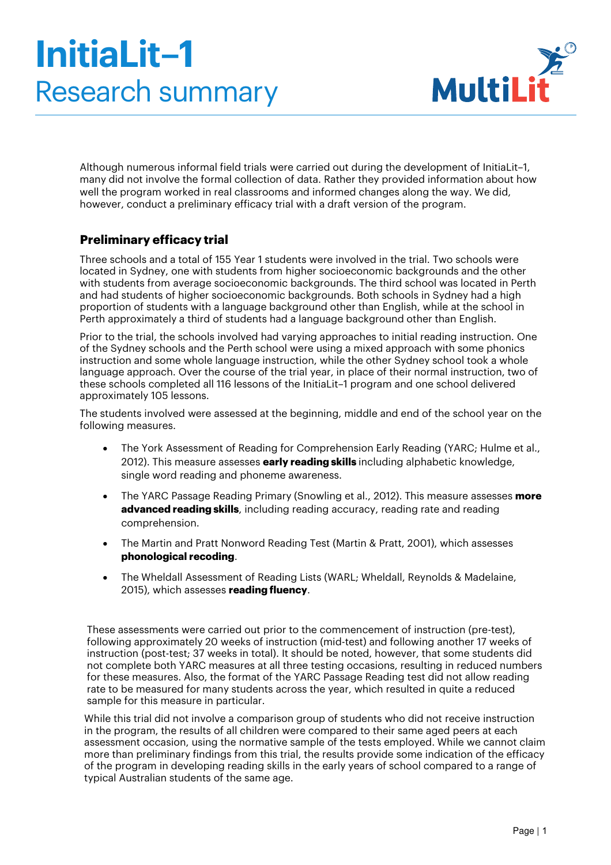# **InitiaLit–1** Research summary



Although numerous informal field trials were carried out during the development of InitiaLit–1, many did not involve the formal collection of data. Rather they provided information about how well the program worked in real classrooms and informed changes along the way. We did, however, conduct a preliminary efficacy trial with a draft version of the program.

## **Preliminary efficacy trial**

Three schools and a total of 155 Year 1 students were involved in the trial. Two schools were located in Sydney, one with students from higher socioeconomic backgrounds and the other with students from average socioeconomic backgrounds. The third school was located in Perth and had students of higher socioeconomic backgrounds. Both schools in Sydney had a high proportion of students with a language background other than English, while at the school in Perth approximately a third of students had a language background other than English.

Prior to the trial, the schools involved had varying approaches to initial reading instruction. One of the Sydney schools and the Perth school were using a mixed approach with some phonics instruction and some whole language instruction, while the other Sydney school took a whole language approach. Over the course of the trial year, in place of their normal instruction, two of these schools completed all 116 lessons of the InitiaLit–1 program and one school delivered approximately 105 lessons.

The students involved were assessed at the beginning, middle and end of the school year on the following measures.

- The York Assessment of Reading for Comprehension Early Reading (YARC; Hulme et al., 2012). This measure assesses **early reading skills** including alphabetic knowledge, single word reading and phoneme awareness.
- The YARC Passage Reading Primary (Snowling et al., 2012). This measure assesses **more advanced reading skills**, including reading accuracy, reading rate and reading comprehension.
- The Martin and Pratt Nonword Reading Test (Martin & Pratt, 2001), which assesses **phonological recoding**.
- The Wheldall Assessment of Reading Lists (WARL; Wheldall, Reynolds & Madelaine, 2015), which assesses **reading fluency**.

These assessments were carried out prior to the commencement of instruction (pre-test), following approximately 20 weeks of instruction (mid-test) and following another 17 weeks of instruction (post-test; 37 weeks in total). It should be noted, however, that some students did not complete both YARC measures at all three testing occasions, resulting in reduced numbers for these measures. Also, the format of the YARC Passage Reading test did not allow reading rate to be measured for many students across the year, which resulted in quite a reduced sample for this measure in particular.

While this trial did not involve a comparison group of students who did not receive instruction in the program, the results of all children were compared to their same aged peers at each assessment occasion, using the normative sample of the tests employed. While we cannot claim more than preliminary findings from this trial, the results provide some indication of the efficacy of the program in developing reading skills in the early years of school compared to a range of typical Australian students of the same age.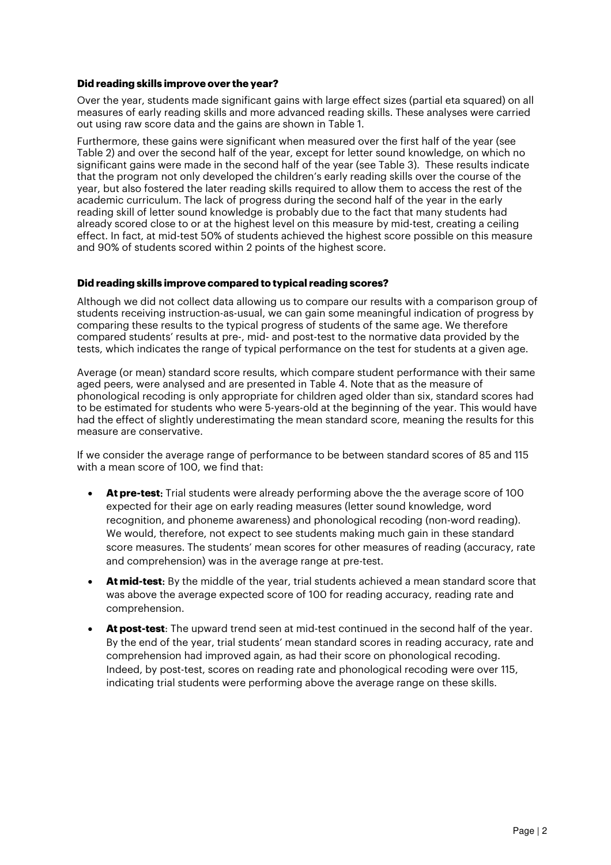#### **Did reading skills improve over the year?**

Over the year, students made significant gains with large effect sizes (partial eta squared) on all measures of early reading skills and more advanced reading skills. These analyses were carried out using raw score data and the gains are shown in Table 1.

Furthermore, these gains were significant when measured over the first half of the year (see Table 2) and over the second half of the year, except for letter sound knowledge, on which no significant gains were made in the second half of the year (see Table 3). These results indicate that the program not only developed the children's early reading skills over the course of the year, but also fostered the later reading skills required to allow them to access the rest of the academic curriculum. The lack of progress during the second half of the year in the early reading skill of letter sound knowledge is probably due to the fact that many students had already scored close to or at the highest level on this measure by mid-test, creating a ceiling effect. In fact, at mid-test 50% of students achieved the highest score possible on this measure and 90% of students scored within 2 points of the highest score.

#### **Did reading skills improve compared to typical reading scores?**

Although we did not collect data allowing us to compare our results with a comparison group of students receiving instruction-as-usual, we can gain some meaningful indication of progress by comparing these results to the typical progress of students of the same age. We therefore compared students' results at pre-, mid- and post-test to the normative data provided by the tests, which indicates the range of typical performance on the test for students at a given age.

Average (or mean) standard score results, which compare student performance with their same aged peers, were analysed and are presented in Table 4. Note that as the measure of phonological recoding is only appropriate for children aged older than six, standard scores had to be estimated for students who were 5-years-old at the beginning of the year. This would have had the effect of slightly underestimating the mean standard score, meaning the results for this measure are conservative.

If we consider the average range of performance to be between standard scores of 85 and 115 with a mean score of 100, we find that:

- **At pre-test**: Trial students were already performing above the the average score of 100 expected for their age on early reading measures (letter sound knowledge, word recognition, and phoneme awareness) and phonological recoding (non-word reading). We would, therefore, not expect to see students making much gain in these standard score measures. The students' mean scores for other measures of reading (accuracy, rate and comprehension) was in the average range at pre-test.
- **At mid-test**: By the middle of the year, trial students achieved a mean standard score that was above the average expected score of 100 for reading accuracy, reading rate and comprehension.
- **At post-test**: The upward trend seen at mid-test continued in the second half of the year. By the end of the year, trial students' mean standard scores in reading accuracy, rate and comprehension had improved again, as had their score on phonological recoding. Indeed, by post-test, scores on reading rate and phonological recoding were over 115, indicating trial students were performing above the average range on these skills.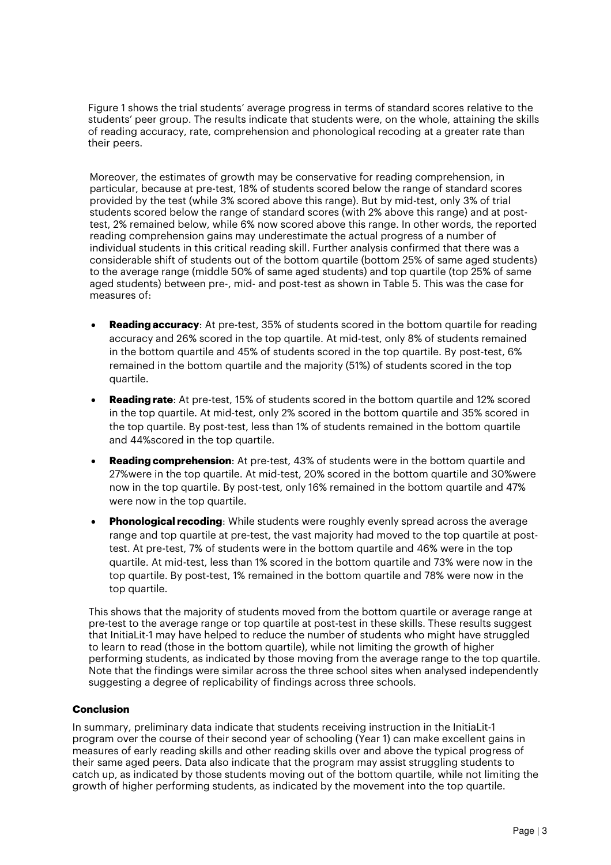Figure 1 shows the trial students' average progress in terms of standard scores relative to the students' peer group. The results indicate that students were, on the whole, attaining the skills of reading accuracy, rate, comprehension and phonological recoding at a greater rate than their peers.

Moreover, the estimates of growth may be conservative for reading comprehension, in particular, because at pre-test, 18% of students scored below the range of standard scores provided by the test (while 3% scored above this range). But by mid-test, only 3% of trial students scored below the range of standard scores (with 2% above this range) and at posttest, 2% remained below, while 6% now scored above this range. In other words, the reported reading comprehension gains may underestimate the actual progress of a number of individual students in this critical reading skill. Further analysis confirmed that there was a considerable shift of students out of the bottom quartile (bottom 25% of same aged students) to the average range (middle 50% of same aged students) and top quartile (top 25% of same aged students) between pre-, mid- and post-test as shown in Table 5. This was the case for measures of:

- **Reading accuracy:** At pre-test, 35% of students scored in the bottom quartile for reading accuracy and 26% scored in the top quartile. At mid-test, only 8% of students remained in the bottom quartile and 45% of students scored in the top quartile. By post-test, 6% remained in the bottom quartile and the majority (51%) of students scored in the top quartile.
- **Reading rate**: At pre-test, 15% of students scored in the bottom quartile and 12% scored in the top quartile. At mid-test, only 2% scored in the bottom quartile and 35% scored in the top quartile. By post-test, less than 1% of students remained in the bottom quartile and 44%scored in the top quartile.
- **Reading comprehension**: At pre-test, 43% of students were in the bottom quartile and 27%were in the top quartile. At mid-test, 20% scored in the bottom quartile and 30%were now in the top quartile. By post-test, only 16% remained in the bottom quartile and 47% were now in the top quartile.
- **Phonological recoding**: While students were roughly evenly spread across the average range and top quartile at pre-test, the vast majority had moved to the top quartile at posttest. At pre-test, 7% of students were in the bottom quartile and 46% were in the top quartile. At mid-test, less than 1% scored in the bottom quartile and 73% were now in the top quartile. By post-test, 1% remained in the bottom quartile and 78% were now in the top quartile.

This shows that the majority of students moved from the bottom quartile or average range at pre-test to the average range or top quartile at post-test in these skills. These results suggest that InitiaLit-1 may have helped to reduce the number of students who might have struggled to learn to read (those in the bottom quartile), while not limiting the growth of higher performing students, as indicated by those moving from the average range to the top quartile. Note that the findings were similar across the three school sites when analysed independently suggesting a degree of replicability of findings across three schools.

### **Conclusion**

In summary, preliminary data indicate that students receiving instruction in the InitiaLit-1 program over the course of their second year of schooling (Year 1) can make excellent gains in measures of early reading skills and other reading skills over and above the typical progress of their same aged peers. Data also indicate that the program may assist struggling students to catch up, as indicated by those students moving out of the bottom quartile, while not limiting the growth of higher performing students, as indicated by the movement into the top quartile.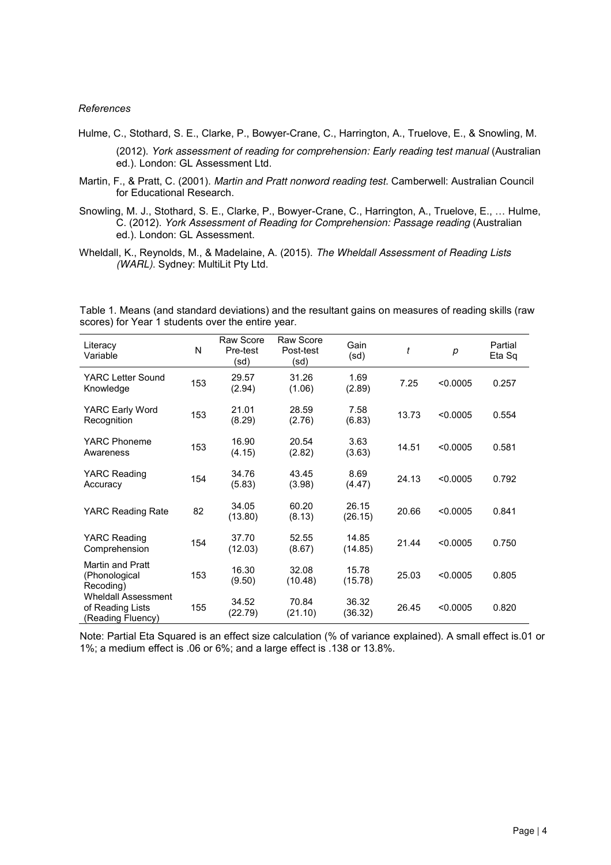#### *References*

Hulme, C., Stothard, S. E., Clarke, P., Bowyer-Crane, C., Harrington, A., Truelove, E., & Snowling, M.

(2012). York assessment of reading for comprehension: Early reading test manual (Australian ed.). London: GL Assessment Ltd.

- Martin, F., & Pratt, C. (2001). Martin and Pratt nonword reading test. Camberwell: Australian Council for Educational Research.
- Snowling, M. J., Stothard, S. E., Clarke, P., Bowyer-Crane, C., Harrington, A., Truelove, E., … Hulme, C. (2012). York Assessment of Reading for Comprehension: Passage reading (Australian ed.). London: GL Assessment.
- Wheldall, K., Reynolds, M., & Madelaine, A. (2015). The Wheldall Assessment of Reading Lists (WARL). Sydney: MultiLit Pty Ltd.

Table 1. Means (and standard deviations) and the resultant gains on measures of reading skills (raw scores) for Year 1 students over the entire year.

| Literacy<br>Variable                                                | N   | Raw Score<br>Pre-test<br>(sd) | Raw Score<br>Post-test<br>(sd) | Gain<br>(sd)     | t     | р        | Partial<br>Eta Sq |
|---------------------------------------------------------------------|-----|-------------------------------|--------------------------------|------------------|-------|----------|-------------------|
| YARC Letter Sound<br>Knowledge                                      | 153 | 29.57<br>(2.94)               | 31.26<br>(1.06)                | 1.69<br>(2.89)   | 7.25  | < 0.0005 | 0.257             |
| YARC Early Word<br>Recognition                                      | 153 | 21.01<br>(8.29)               | 28.59<br>(2.76)                | 7.58<br>(6.83)   | 13.73 | < 0.0005 | 0.554             |
| <b>YARC Phoneme</b><br>Awareness                                    | 153 | 16.90<br>(4.15)               | 20.54<br>(2.82)                | 3.63<br>(3.63)   | 14.51 | < 0.0005 | 0.581             |
| YARC Reading<br>Accuracy                                            | 154 | 34.76<br>(5.83)               | 43.45<br>(3.98)                | 8.69<br>(4.47)   | 24.13 | < 0.0005 | 0.792             |
| YARC Reading Rate                                                   | 82  | 34.05<br>(13.80)              | 60.20<br>(8.13)                | 26.15<br>(26.15) | 20.66 | < 0.0005 | 0.841             |
| <b>YARC Reading</b><br>Comprehension                                | 154 | 37.70<br>(12.03)              | 52.55<br>(8.67)                | 14.85<br>(14.85) | 21.44 | < 0.0005 | 0.750             |
| <b>Martin and Pratt</b><br>(Phonological<br>Recoding)               | 153 | 16.30<br>(9.50)               | 32.08<br>(10.48)               | 15.78<br>(15.78) | 25.03 | < 0.0005 | 0.805             |
| <b>Wheldall Assessment</b><br>of Reading Lists<br>(Reading Fluency) | 155 | 34.52<br>(22.79)              | 70.84<br>(21.10)               | 36.32<br>(36.32) | 26.45 | < 0.0005 | 0.820             |

Note: Partial Eta Squared is an effect size calculation (% of variance explained). A small effect is.01 or 1%; a medium effect is .06 or 6%; and a large effect is .138 or 13.8%.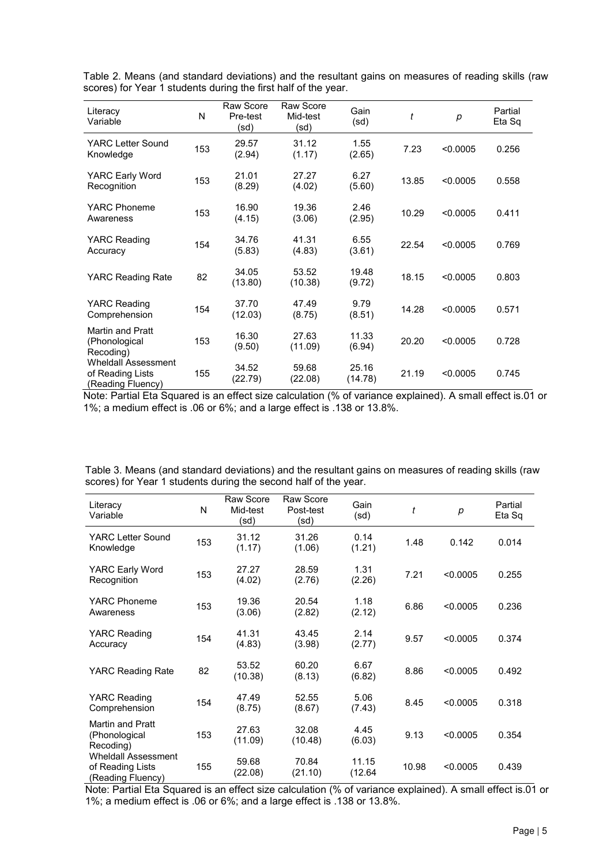| Literacy<br>Variable                                                                                                  | N   | <b>Raw Score</b><br>Pre-test<br>(sd) | <b>Raw Score</b><br>Mid-test<br>(sd) | Gain<br>(sd)     | t     | p        | Partial<br>Eta Sq |
|-----------------------------------------------------------------------------------------------------------------------|-----|--------------------------------------|--------------------------------------|------------------|-------|----------|-------------------|
| YARC Letter Sound<br>Knowledge                                                                                        | 153 | 29.57<br>(2.94)                      | 31.12<br>(1.17)                      | 1.55<br>(2.65)   | 7.23  | < 0.0005 | 0.256             |
| YARC Early Word<br>Recognition                                                                                        | 153 | 21.01<br>(8.29)                      | 27.27<br>(4.02)                      | 6.27<br>(5.60)   | 13.85 | < 0.0005 | 0.558             |
| <b>YARC Phoneme</b><br>Awareness                                                                                      | 153 | 16.90<br>(4.15)                      | 19.36<br>(3.06)                      | 2.46<br>(2.95)   | 10.29 | < 0.0005 | 0.411             |
| YARC Reading<br>Accuracy                                                                                              | 154 | 34.76<br>(5.83)                      | 41.31<br>(4.83)                      | 6.55<br>(3.61)   | 22.54 | < 0.0005 | 0.769             |
| <b>YARC Reading Rate</b>                                                                                              | 82  | 34.05<br>(13.80)                     | 53.52<br>(10.38)                     | 19.48<br>(9.72)  | 18.15 | < 0.0005 | 0.803             |
| YARC Reading<br>Comprehension                                                                                         | 154 | 37.70<br>(12.03)                     | 47.49<br>(8.75)                      | 9.79<br>(8.51)   | 14.28 | < 0.0005 | 0.571             |
| Martin and Pratt<br>(Phonological<br>Recoding)<br><b>Wheldall Assessment</b><br>of Reading Lists<br>(Reading Fluency) | 153 | 16.30<br>(9.50)                      | 27.63<br>(11.09)                     | 11.33<br>(6.94)  | 20.20 | < 0.0005 | 0.728             |
|                                                                                                                       | 155 | 34.52<br>(22.79)                     | 59.68<br>(22.08)                     | 25.16<br>(14.78) | 21.19 | < 0.0005 | 0.745             |

Table 2. Means (and standard deviations) and the resultant gains on measures of reading skills (raw scores) for Year 1 students during the first half of the year.

Note: Partial Eta Squared is an effect size calculation (% of variance explained). A small effect is.01 or 1%; a medium effect is .06 or 6%; and a large effect is .138 or 13.8%.

| Table 3. Means (and standard deviations) and the resultant gains on measures of reading skills (raw |
|-----------------------------------------------------------------------------------------------------|
| scores) for Year 1 students during the second half of the year.                                     |

| Literacy<br>Variable                                                | N   | Raw Score<br>Mid-test<br>(sd) | <b>Raw Score</b><br>Post-test<br>(sd) | Gain<br>(sd)    | t     | p        | Partial<br>Eta Sq |
|---------------------------------------------------------------------|-----|-------------------------------|---------------------------------------|-----------------|-------|----------|-------------------|
| YARC Letter Sound<br>Knowledge                                      | 153 | 31.12<br>(1.17)               | 31.26<br>(1.06)                       | 0.14<br>(1.21)  | 1.48  | 0.142    | 0.014             |
| YARC Early Word<br>Recognition                                      | 153 | 27.27<br>(4.02)               | 28.59<br>(2.76)                       | 1.31<br>(2.26)  | 7.21  | < 0.0005 | 0.255             |
| <b>YARC Phoneme</b><br>Awareness                                    | 153 | 19.36<br>(3.06)               | 20.54<br>(2.82)                       | 1.18<br>(2.12)  | 6.86  | < 0.0005 | 0.236             |
| <b>YARC Reading</b><br>Accuracy                                     | 154 | 41.31<br>(4.83)               | 43.45<br>(3.98)                       | 2.14<br>(2.77)  | 9.57  | < 0.0005 | 0.374             |
| <b>YARC Reading Rate</b>                                            | 82  | 53.52<br>(10.38)              | 60.20<br>(8.13)                       | 6.67<br>(6.82)  | 8.86  | < 0.0005 | 0.492             |
| YARC Reading<br>Comprehension                                       | 154 | 47.49<br>(8.75)               | 52.55<br>(8.67)                       | 5.06<br>(7.43)  | 8.45  | < 0.0005 | 0.318             |
| <b>Martin and Pratt</b><br>(Phonological<br>Recoding)               | 153 | 27.63<br>(11.09)              | 32.08<br>(10.48)                      | 4.45<br>(6.03)  | 9.13  | < 0.0005 | 0.354             |
| <b>Wheldall Assessment</b><br>of Reading Lists<br>(Reading Fluency) | 155 | 59.68<br>(22.08)              | 70.84<br>(21.10)                      | 11.15<br>(12.64 | 10.98 | < 0.0005 | 0.439             |

Note: Partial Eta Squared is an effect size calculation (% of variance explained). A small effect is.01 or 1%; a medium effect is .06 or 6%; and a large effect is .138 or 13.8%.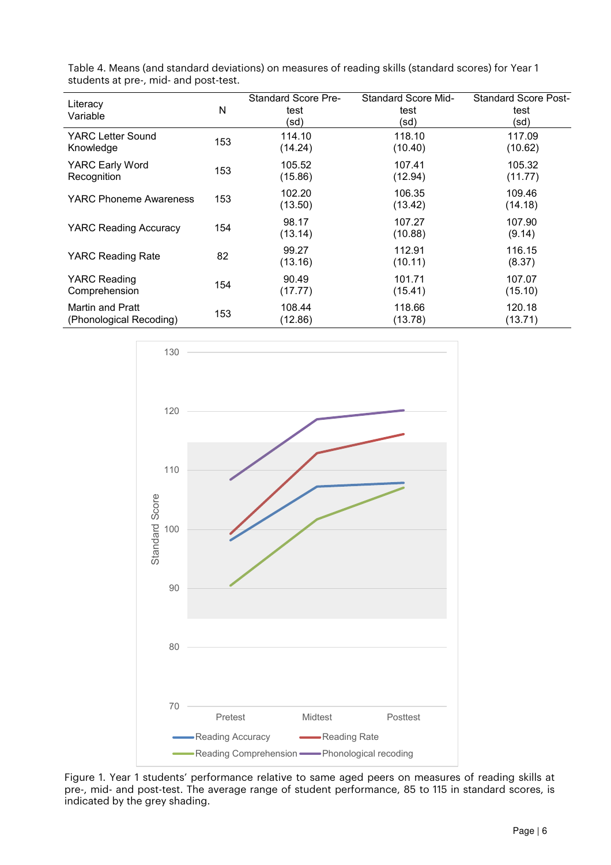| Literacy<br>Variable          | N   | <b>Standard Score Pre-</b><br>test<br>(sd) | <b>Standard Score Mid-</b><br>test<br>(sd) | <b>Standard Score Post-</b><br>test<br>(sd) |
|-------------------------------|-----|--------------------------------------------|--------------------------------------------|---------------------------------------------|
| YARC Letter Sound             | 153 | 114.10                                     | 118.10                                     | 117.09                                      |
| Knowledge                     |     | (14.24)                                    | (10.40)                                    | (10.62)                                     |
| YARC Early Word               | 153 | 105.52                                     | 107.41                                     | 105.32                                      |
| Recognition                   |     | (15.86)                                    | (12.94)                                    | (11.77)                                     |
| <b>YARC Phoneme Awareness</b> | 153 | 102.20<br>(13.50)                          | 106.35<br>(13.42)                          | 109.46<br>(14.18)                           |
| <b>YARC Reading Accuracy</b>  | 154 | 98.17<br>(13.14)                           | 107.27<br>(10.88)                          | 107.90<br>(9.14)                            |
| YARC Reading Rate             | 82  | 99.27<br>(13.16)                           | 112.91<br>(10.11)                          | 116.15<br>(8.37)                            |
| YARC Reading                  | 154 | 90.49                                      | 101.71                                     | 107.07                                      |
| Comprehension                 |     | (17.77)                                    | (15.41)                                    | (15.10)                                     |
| Martin and Pratt              | 153 | 108.44                                     | 118.66                                     | 120.18                                      |
| (Phonological Recoding)       |     | (12.86)                                    | (13.78)                                    | (13.71)                                     |

Table 4. Means (and standard deviations) on measures of reading skills (standard scores) for Year 1 students at pre-, mid- and post-test.



Figure 1. Year 1 students' performance relative to same aged peers on measures of reading skills at pre-, mid- and post-test. The average range of student performance, 85 to 115 in standard scores, is indicated by the grey shading.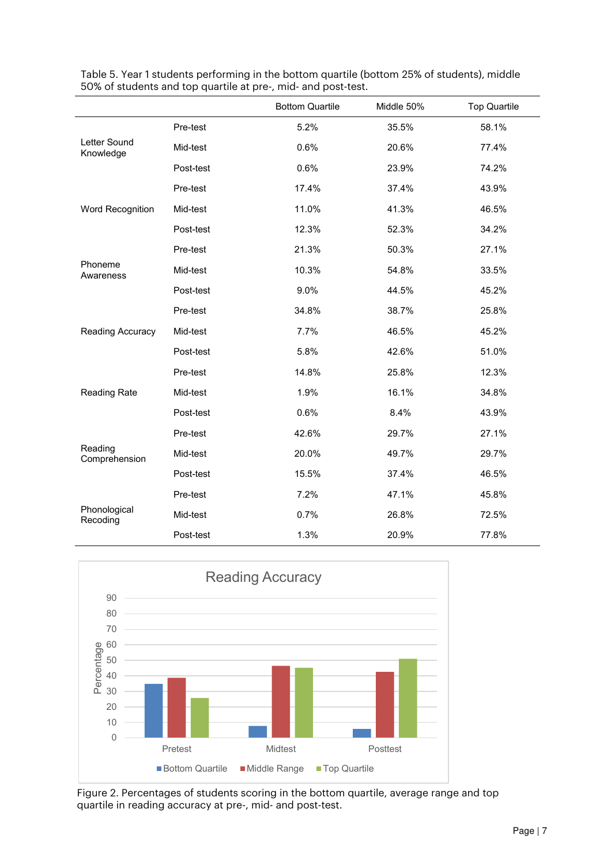|                           |           | <b>Bottom Quartile</b> | Middle 50% | <b>Top Quartile</b> |
|---------------------------|-----------|------------------------|------------|---------------------|
|                           | Pre-test  | 5.2%                   | 35.5%      | 58.1%               |
| Letter Sound<br>Knowledge | Mid-test  | 0.6%                   | 20.6%      | 77.4%               |
|                           | Post-test | 0.6%                   | 23.9%      | 74.2%               |
|                           | Pre-test  | 17.4%                  | 37.4%      | 43.9%               |
| Word Recognition          | Mid-test  | 11.0%                  | 41.3%      | 46.5%               |
|                           | Post-test | 12.3%                  | 52.3%      | 34.2%               |
|                           | Pre-test  | 21.3%                  | 50.3%      | 27.1%               |
| Phoneme<br>Awareness      | Mid-test  | 10.3%                  | 54.8%      | 33.5%               |
|                           | Post-test | 9.0%                   | 44.5%      | 45.2%               |
|                           | Pre-test  | 34.8%                  | 38.7%      | 25.8%               |
| Reading Accuracy          | Mid-test  | 7.7%                   | 46.5%      | 45.2%               |
|                           | Post-test | 5.8%                   | 42.6%      | 51.0%               |
| Reading Rate              | Pre-test  | 14.8%                  | 25.8%      | 12.3%               |
|                           | Mid-test  | 1.9%                   | 16.1%      | 34.8%               |
|                           | Post-test | 0.6%                   | 8.4%       | 43.9%               |
|                           | Pre-test  | 42.6%                  | 29.7%      | 27.1%               |
| Reading<br>Comprehension  | Mid-test  | 20.0%                  | 49.7%      | 29.7%               |
|                           | Post-test | 15.5%                  | 37.4%      | 46.5%               |
| Phonological<br>Recoding  | Pre-test  | 7.2%                   | 47.1%      | 45.8%               |
|                           | Mid-test  | 0.7%                   | 26.8%      | 72.5%               |
|                           | Post-test | 1.3%                   | 20.9%      | 77.8%               |

Table 5. Year 1 students performing in the bottom quartile (bottom 25% of students), middle 50% of students and top quartile at pre-, mid- and post-test.



Figure 2. Percentages of students scoring in the bottom quartile, average range and top quartile in reading accuracy at pre-, mid- and post-test.